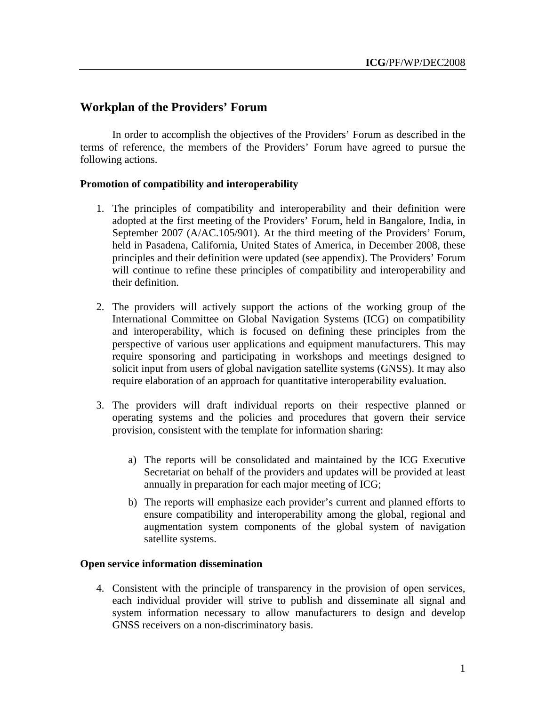# **Workplan of the Providers' Forum**

In order to accomplish the objectives of the Providers' Forum as described in the terms of reference, the members of the Providers' Forum have agreed to pursue the following actions.

## **Promotion of compatibility and interoperability**

- 1. The principles of compatibility and interoperability and their definition were adopted at the first meeting of the Providers' Forum, held in Bangalore, India, in September 2007 (A/AC.105/901). At the third meeting of the Providers' Forum, held in Pasadena, California, United States of America, in December 2008, these principles and their definition were updated (see appendix). The Providers' Forum will continue to refine these principles of compatibility and interoperability and their definition.
- 2. The providers will actively support the actions of the working group of the International Committee on Global Navigation Systems (ICG) on compatibility and interoperability, which is focused on defining these principles from the perspective of various user applications and equipment manufacturers. This may require sponsoring and participating in workshops and meetings designed to solicit input from users of global navigation satellite systems (GNSS). It may also require elaboration of an approach for quantitative interoperability evaluation.
- 3. The providers will draft individual reports on their respective planned or operating systems and the policies and procedures that govern their service provision, consistent with the template for information sharing:
	- a) The reports will be consolidated and maintained by the ICG Executive Secretariat on behalf of the providers and updates will be provided at least annually in preparation for each major meeting of ICG;
	- b) The reports will emphasize each provider's current and planned efforts to ensure compatibility and interoperability among the global, regional and augmentation system components of the global system of navigation satellite systems.

## **Open service information dissemination**

4. Consistent with the principle of transparency in the provision of open services, each individual provider will strive to publish and disseminate all signal and system information necessary to allow manufacturers to design and develop GNSS receivers on a non-discriminatory basis.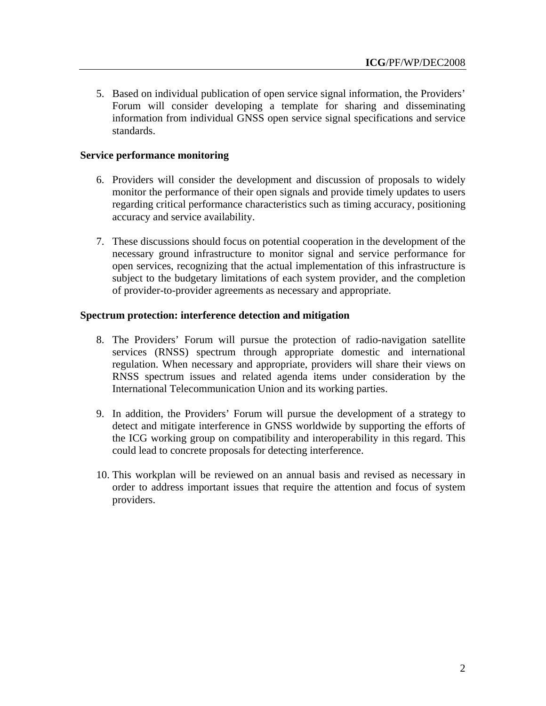5. Based on individual publication of open service signal information, the Providers' Forum will consider developing a template for sharing and disseminating information from individual GNSS open service signal specifications and service standards.

#### **Service performance monitoring**

- 6. Providers will consider the development and discussion of proposals to widely monitor the performance of their open signals and provide timely updates to users regarding critical performance characteristics such as timing accuracy, positioning accuracy and service availability.
- 7. These discussions should focus on potential cooperation in the development of the necessary ground infrastructure to monitor signal and service performance for open services, recognizing that the actual implementation of this infrastructure is subject to the budgetary limitations of each system provider, and the completion of provider-to-provider agreements as necessary and appropriate.

#### **Spectrum protection: interference detection and mitigation**

- 8. The Providers' Forum will pursue the protection of radio-navigation satellite services (RNSS) spectrum through appropriate domestic and international regulation. When necessary and appropriate, providers will share their views on RNSS spectrum issues and related agenda items under consideration by the International Telecommunication Union and its working parties.
- 9. In addition, the Providers' Forum will pursue the development of a strategy to detect and mitigate interference in GNSS worldwide by supporting the efforts of the ICG working group on compatibility and interoperability in this regard. This could lead to concrete proposals for detecting interference.
- 10. This workplan will be reviewed on an annual basis and revised as necessary in order to address important issues that require the attention and focus of system providers.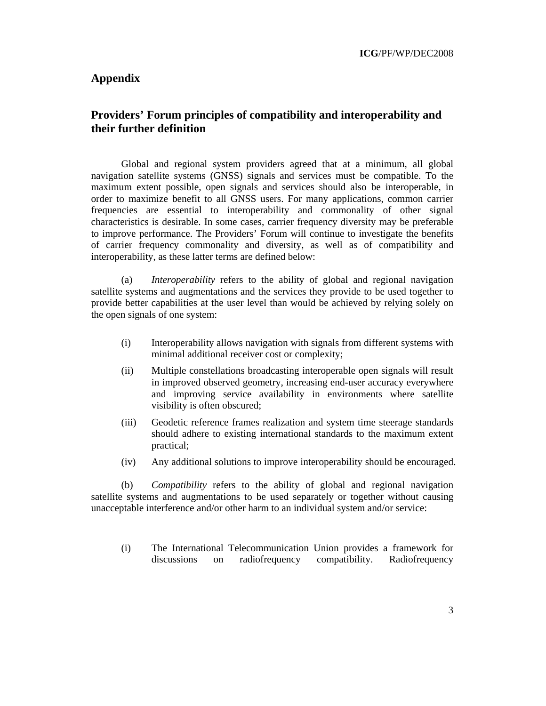## **Appendix**

## **Providers' Forum principles of compatibility and interoperability and their further definition**

Global and regional system providers agreed that at a minimum, all global navigation satellite systems (GNSS) signals and services must be compatible. To the maximum extent possible, open signals and services should also be interoperable, in order to maximize benefit to all GNSS users. For many applications, common carrier frequencies are essential to interoperability and commonality of other signal characteristics is desirable. In some cases, carrier frequency diversity may be preferable to improve performance. The Providers' Forum will continue to investigate the benefits of carrier frequency commonality and diversity, as well as of compatibility and interoperability, as these latter terms are defined below:

(a) *Interoperability* refers to the ability of global and regional navigation satellite systems and augmentations and the services they provide to be used together to provide better capabilities at the user level than would be achieved by relying solely on the open signals of one system:

- (i) Interoperability allows navigation with signals from different systems with minimal additional receiver cost or complexity;
- (ii) Multiple constellations broadcasting interoperable open signals will result in improved observed geometry, increasing end-user accuracy everywhere and improving service availability in environments where satellite visibility is often obscured;
- (iii) Geodetic reference frames realization and system time steerage standards should adhere to existing international standards to the maximum extent practical;
- (iv) Any additional solutions to improve interoperability should be encouraged.

(b) *Compatibility* refers to the ability of global and regional navigation satellite systems and augmentations to be used separately or together without causing unacceptable interference and/or other harm to an individual system and/or service:

(i) The International Telecommunication Union provides a framework for discussions on radiofrequency compatibility. Radiofrequency